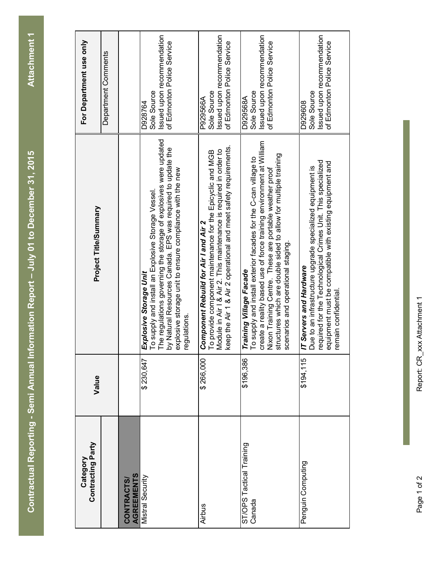| <b>ATE</b>                    |
|-------------------------------|
|                               |
|                               |
|                               |
| Ξ                             |
|                               |
|                               |
|                               |
|                               |
|                               |
| ŕ                             |
|                               |
|                               |
|                               |
|                               |
|                               |
|                               |
|                               |
|                               |
| ĺ<br>ļ                        |
|                               |
|                               |
|                               |
|                               |
| <u>n</u><br>E                 |
| I                             |
| 1.                            |
| ⋍<br>Ē                        |
|                               |
| Í                             |
|                               |
|                               |
|                               |
| í<br>֚֘֝֕                     |
| i                             |
| ŀ.<br>۱<br>Č<br>í             |
| ۷                             |
| $\mathbf{\underline{\alpha}}$ |
| G                             |
| ١                             |
| $\tilde{\mathbf{a}}$          |
| ١                             |
| ŀ<br>š                        |
| г                             |

| For Department use only       | Department Comments |                                       | Issued upon recommendation<br>of Edmonton Police Service<br>Sole Source<br>D928764                                                                                                                                                                                                         | ssued upon recommendation<br>of Edmonton Police Service<br>Sole Source<br>P929566A                                                                                                                                                           | Issued upon recommendation<br>of Edmonton Police Service<br>Sole Source<br>D929568A                                                                                                                                                                                                                                                   | ssued upon recommendation<br>of Edmonton Police Service<br>Sole Source<br>D929608                                                                                                                                                       |
|-------------------------------|---------------------|---------------------------------------|--------------------------------------------------------------------------------------------------------------------------------------------------------------------------------------------------------------------------------------------------------------------------------------------|----------------------------------------------------------------------------------------------------------------------------------------------------------------------------------------------------------------------------------------------|---------------------------------------------------------------------------------------------------------------------------------------------------------------------------------------------------------------------------------------------------------------------------------------------------------------------------------------|-----------------------------------------------------------------------------------------------------------------------------------------------------------------------------------------------------------------------------------------|
| Project Title/Summary         |                     |                                       | The regulations governing the storage of explosives were updated<br>by Natural Resources Canada. EPS was required to update the<br>explosive storage unit to ensure compliance with the new<br>To supply and install an Explosive Storage Vessel.<br>Explosive Storage Unit<br>regulations | keep the Air 1 & Air 2 operational and meet safety requirements.<br>Module in Air I & Air 2. This maintenance is required in order to<br>To provide component maintenance for the Epicyclic and MGB<br>Component Rebuild for Air I and Air 2 | create a reality based use of force training environment at William<br>structures which are double sided to allow for multiple training<br>To supply and install exterior facades for the C-can village to<br>Nixon Training Centre. These are portable weather proof<br>scenarios and operational staging<br>Training Village Facade | required for the Technological Crimes Unit. This specialized<br>equipment must be compatible with existing equipment and<br>Due to an infrastructure upgrade specialized equipment is<br>IT Servers and Hardware<br>remain confidential |
| Value                         |                     |                                       | \$230,647                                                                                                                                                                                                                                                                                  | \$266,000                                                                                                                                                                                                                                    | \$196,386                                                                                                                                                                                                                                                                                                                             | \$194,115                                                                                                                                                                                                                               |
| Contracting Party<br>Category |                     | <b>AGREEMENTS</b><br><b>CONTRACTS</b> | Mistral Security                                                                                                                                                                                                                                                                           | Airbus                                                                                                                                                                                                                                       | ST/OPS Tactical Training<br>Canada                                                                                                                                                                                                                                                                                                    | Penguin Computing                                                                                                                                                                                                                       |